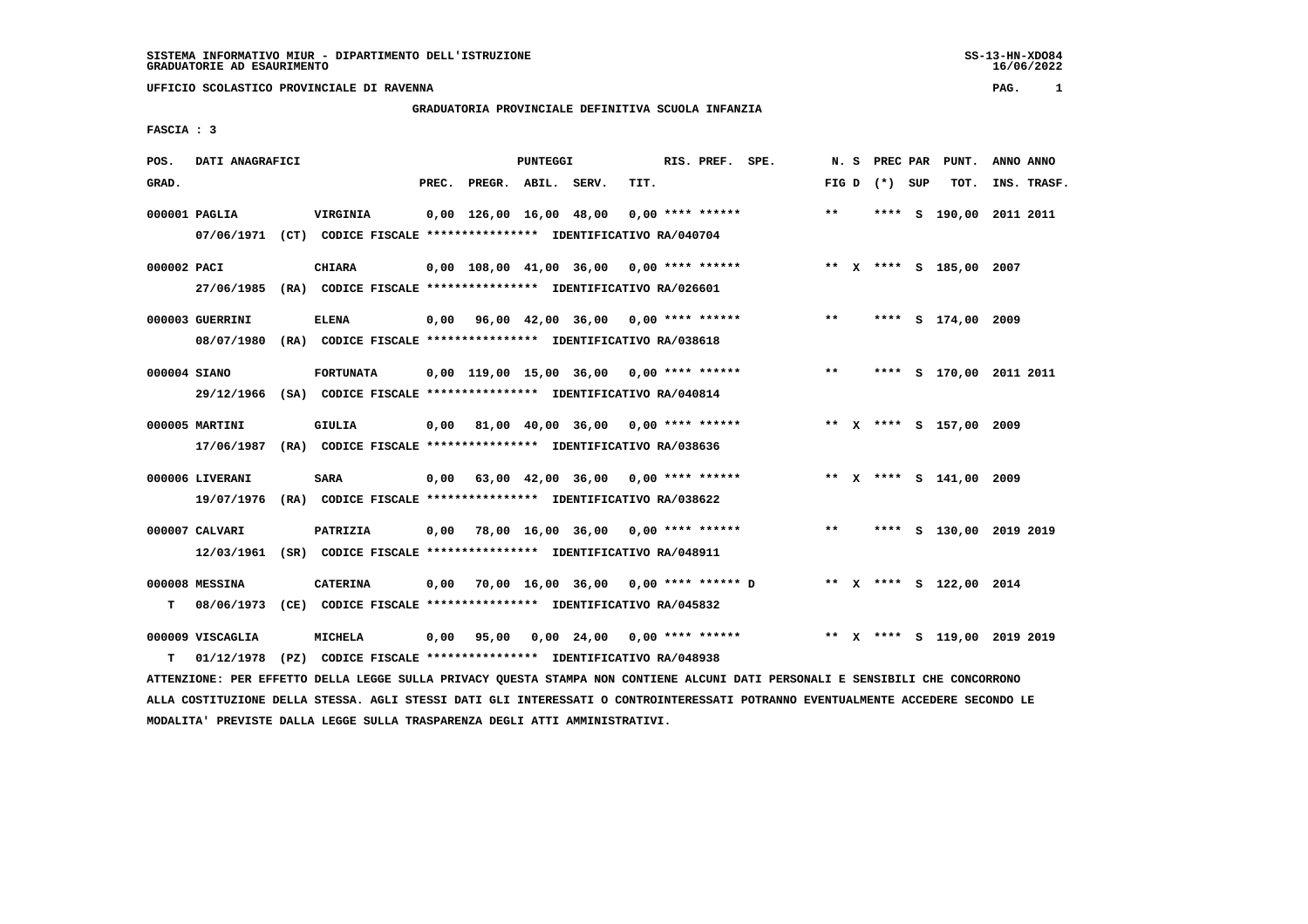**UFFICIO SCOLASTICO PROVINCIALE DI RAVENNA PAG. 1**

## **GRADUATORIA PROVINCIALE DEFINITIVA SCUOLA INFANZIA**

 **FASCIA : 3**

| POS.         | DATI ANAGRAFICI  | <b>PUNTEGGI</b>                                                                                                               |      |                          |  |                                            |      | RIS. PREF. SPE. |                                                              |       |                 | N. S PREC PAR PUNT.          | ANNO ANNO |             |
|--------------|------------------|-------------------------------------------------------------------------------------------------------------------------------|------|--------------------------|--|--------------------------------------------|------|-----------------|--------------------------------------------------------------|-------|-----------------|------------------------------|-----------|-------------|
| GRAD.        |                  |                                                                                                                               |      | PREC. PREGR. ABIL. SERV. |  |                                            | TIT. |                 |                                                              |       | FIG D $(*)$ SUP | тот.                         |           | INS. TRASF. |
|              | 000001 PAGLIA    | VIRGINIA<br>07/06/1971 (CT) CODICE FISCALE *************** IDENTIFICATIVO RA/040704                                           |      |                          |  | 0,00 126,00 16,00 48,00 0,00 **** ******   |      |                 |                                                              | $***$ |                 | **** S 190,00 2011 2011      |           |             |
|              |                  |                                                                                                                               |      |                          |  |                                            |      |                 |                                                              |       |                 |                              |           |             |
| 000002 PACI  |                  | <b>CHIARA</b>                                                                                                                 |      |                          |  | 0,00 108,00 41,00 36,00 0,00 **** ******   |      |                 |                                                              |       |                 | ** X **** S 185,00 2007      |           |             |
|              |                  | 27/06/1985 (RA) CODICE FISCALE *************** IDENTIFICATIVO RA/026601                                                       |      |                          |  |                                            |      |                 |                                                              |       |                 |                              |           |             |
|              | 000003 GUERRINI  | <b>ELENA</b>                                                                                                                  |      |                          |  | $0,00$ 96,00 42,00 36,00 0,00 **** ******  |      |                 |                                                              | $***$ |                 | **** S 174,00 2009           |           |             |
|              |                  | 08/07/1980 (RA) CODICE FISCALE *************** IDENTIFICATIVO RA/038618                                                       |      |                          |  |                                            |      |                 |                                                              |       |                 |                              |           |             |
| 000004 SIANO |                  | <b>FORTUNATA</b>                                                                                                              |      |                          |  | $0,00$ 119,00 15,00 36,00 0,00 **** ****** |      |                 |                                                              | $***$ |                 | **** S 170,00 2011 2011      |           |             |
|              |                  | 29/12/1966 (SA) CODICE FISCALE *************** IDENTIFICATIVO RA/040814                                                       |      |                          |  |                                            |      |                 |                                                              |       |                 |                              |           |             |
|              |                  |                                                                                                                               |      |                          |  |                                            |      |                 |                                                              |       |                 |                              |           |             |
|              | 000005 MARTINI   | <b>GIULIA</b>                                                                                                                 |      |                          |  |                                            |      |                 | 0,00 81,00 40,00 36,00 0,00 **** ******                      |       |                 | ** X **** S 157,00 2009      |           |             |
|              |                  | 17/06/1987 (RA) CODICE FISCALE *************** IDENTIFICATIVO RA/038636                                                       |      |                          |  |                                            |      |                 |                                                              |       |                 |                              |           |             |
|              | 000006 LIVERANI  | <b>SARA</b>                                                                                                                   |      |                          |  | $0,00$ 63,00 42,00 36,00 0,00 **** ******  |      |                 |                                                              |       |                 | ** X **** S 141,00 2009      |           |             |
|              |                  | 19/07/1976 (RA) CODICE FISCALE *************** IDENTIFICATIVO RA/038622                                                       |      |                          |  |                                            |      |                 |                                                              |       |                 |                              |           |             |
|              | 000007 CALVARI   | PATRIZIA                                                                                                                      | 0,00 |                          |  | 78,00 16,00 36,00 0,00 **** ******         |      |                 |                                                              | $***$ |                 | **** S 130,00 2019 2019      |           |             |
|              |                  | 12/03/1961 (SR) CODICE FISCALE *************** IDENTIFICATIVO RA/048911                                                       |      |                          |  |                                            |      |                 |                                                              |       |                 |                              |           |             |
|              |                  |                                                                                                                               |      |                          |  |                                            |      |                 |                                                              |       |                 |                              |           |             |
|              | 000008 MESSINA   | <b>CATERINA</b>                                                                                                               | 0,00 |                          |  |                                            |      |                 | 70,00 16,00 36,00 0,00 **** ****** D ** X **** S 122,00 2014 |       |                 |                              |           |             |
| т            | 08/06/1973       | (CE) CODICE FISCALE **************** IDENTIFICATIVO RA/045832                                                                 |      |                          |  |                                            |      |                 |                                                              |       |                 |                              |           |             |
|              | 000009 VISCAGLIA | <b>MICHELA</b>                                                                                                                |      |                          |  |                                            |      |                 | 0,00 95,00 0,00 24,00 0,00 **** ******                       |       |                 | ** X **** S 119,00 2019 2019 |           |             |
| т            |                  | 01/12/1978 (PZ) CODICE FISCALE **************** IDENTIFICATIVO RA/048938                                                      |      |                          |  |                                            |      |                 |                                                              |       |                 |                              |           |             |
|              |                  | ATTENZIONE: PER EFFETTO DELLA LEGGE SULLA PRIVACY QUESTA STAMPA NON CONTIENE ALCUNI DATI PERSONALI E SENSIBILI CHE CONCORRONO |      |                          |  |                                            |      |                 |                                                              |       |                 |                              |           |             |

 **ALLA COSTITUZIONE DELLA STESSA. AGLI STESSI DATI GLI INTERESSATI O CONTROINTERESSATI POTRANNO EVENTUALMENTE ACCEDERE SECONDO LE MODALITA' PREVISTE DALLA LEGGE SULLA TRASPARENZA DEGLI ATTI AMMINISTRATIVI.**

SS-13-HN-XDO84<br>16/06/2022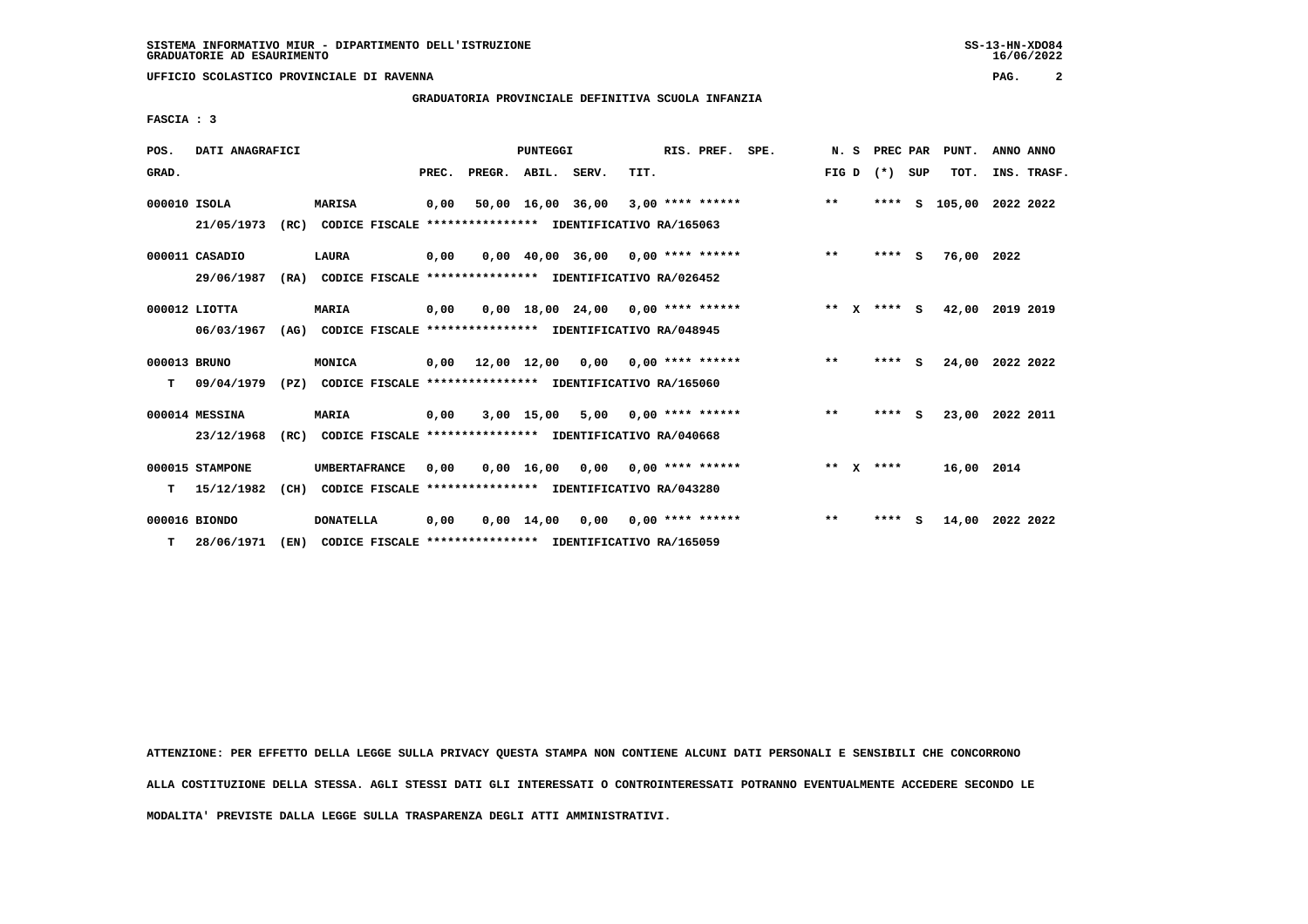**UFFICIO SCOLASTICO PROVINCIALE DI RAVENNA PAG. 2**

 **GRADUATORIA PROVINCIALE DEFINITIVA SCUOLA INFANZIA**

 **FASCIA : 3**

| POS.         | DATI ANAGRAFICI |      |                                                               | <b>PUNTEGGI</b> |                    |            |                                           |                         | RIS. PREF.<br>SPE. |  |  |        | N.S |             | PREC PAR | PUNT.                   |             | ANNO ANNO |  |
|--------------|-----------------|------|---------------------------------------------------------------|-----------------|--------------------|------------|-------------------------------------------|-------------------------|--------------------|--|--|--------|-----|-------------|----------|-------------------------|-------------|-----------|--|
| GRAD.        |                 |      |                                                               | PREC.           | PREGR. ABIL. SERV. |            |                                           | TIT.                    |                    |  |  | FIG D  |     | (*) SUP     |          | TOT.                    | INS. TRASF. |           |  |
| 000010 ISOLA |                 |      | <b>MARISA</b>                                                 | 0,00            |                    |            | 50,00 16,00 36,00 3,00 **** ******        |                         |                    |  |  | $**$   |     |             |          | **** S 105,00 2022 2022 |             |           |  |
|              | 21/05/1973      |      | (RC) CODICE FISCALE **************** IDENTIFICATIVO RA/165063 |                 |                    |            |                                           |                         |                    |  |  |        |     |             |          |                         |             |           |  |
|              | 000011 CASADIO  |      | LAURA                                                         | 0,00            |                    |            | $0,00$ 40,00 36,00 0,00 **** ******       |                         |                    |  |  | $***$  |     | ****        | <b>S</b> | 76,00 2022              |             |           |  |
|              | 29/06/1987      |      | (RA) CODICE FISCALE **************** IDENTIFICATIVO RA/026452 |                 |                    |            |                                           |                         |                    |  |  |        |     |             |          |                         |             |           |  |
|              | $000012$ LIOTTA |      | <b>MARIA</b>                                                  | 0,00            |                    |            | $0,00$ 18,00 24,00 0,00 **** ******       |                         |                    |  |  | ** $X$ |     | **** S      |          | 42,00 2019 2019         |             |           |  |
|              | 06/03/1967      |      | (AG) CODICE FISCALE **************** IDENTIFICATIVO RA/048945 |                 |                    |            |                                           |                         |                    |  |  |        |     |             |          |                         |             |           |  |
| 000013 BRUNO |                 |      | MONICA                                                        | 0,00            |                    |            | $12,00$ $12,00$ $0,00$ $0,00$ **** ****** |                         |                    |  |  | $***$  |     | **** S      |          | 24,00 2022 2022         |             |           |  |
| т            | 09/04/1979      | (PZ) | CODICE FISCALE **************** IDENTIFICATIVO RA/165060      |                 |                    |            |                                           |                         |                    |  |  |        |     |             |          |                         |             |           |  |
|              | 000014 MESSINA  |      | MARIA                                                         | 0,00            |                    | 3,00 15,00 |                                           | $5,00$ 0,00 **** ****** |                    |  |  | $***$  |     | $***$ S     |          | 23,00 2022 2011         |             |           |  |
|              | 23/12/1968      | (RC) | CODICE FISCALE **************** IDENTIFICATIVO RA/040668      |                 |                    |            |                                           |                         |                    |  |  |        |     |             |          |                         |             |           |  |
|              | 000015 STAMPONE |      | <b>UMBERTAFRANCE</b>                                          | 0,00            |                    |            | $0,00$ 16,00 0,00 0,00 **** ******        |                         |                    |  |  |        |     | ** $X$ **** |          | 16,00 2014              |             |           |  |
| т            | 15/12/1982      | (CH) | CODICE FISCALE **************** IDENTIFICATIVO RA/043280      |                 |                    |            |                                           |                         |                    |  |  |        |     |             |          |                         |             |           |  |
|              | 000016 BIONDO   |      | <b>DONATELLA</b>                                              | 0,00            |                    |            | $0,00$ 14,00 0,00 0,00 **** ******        |                         |                    |  |  | $* *$  |     | ****        | s        | 14,00 2022 2022         |             |           |  |
| T.           | 28/06/1971      | (EN) | CODICE FISCALE **************** IDENTIFICATIVO RA/165059      |                 |                    |            |                                           |                         |                    |  |  |        |     |             |          |                         |             |           |  |

 **ATTENZIONE: PER EFFETTO DELLA LEGGE SULLA PRIVACY QUESTA STAMPA NON CONTIENE ALCUNI DATI PERSONALI E SENSIBILI CHE CONCORRONO ALLA COSTITUZIONE DELLA STESSA. AGLI STESSI DATI GLI INTERESSATI O CONTROINTERESSATI POTRANNO EVENTUALMENTE ACCEDERE SECONDO LE MODALITA' PREVISTE DALLA LEGGE SULLA TRASPARENZA DEGLI ATTI AMMINISTRATIVI.**